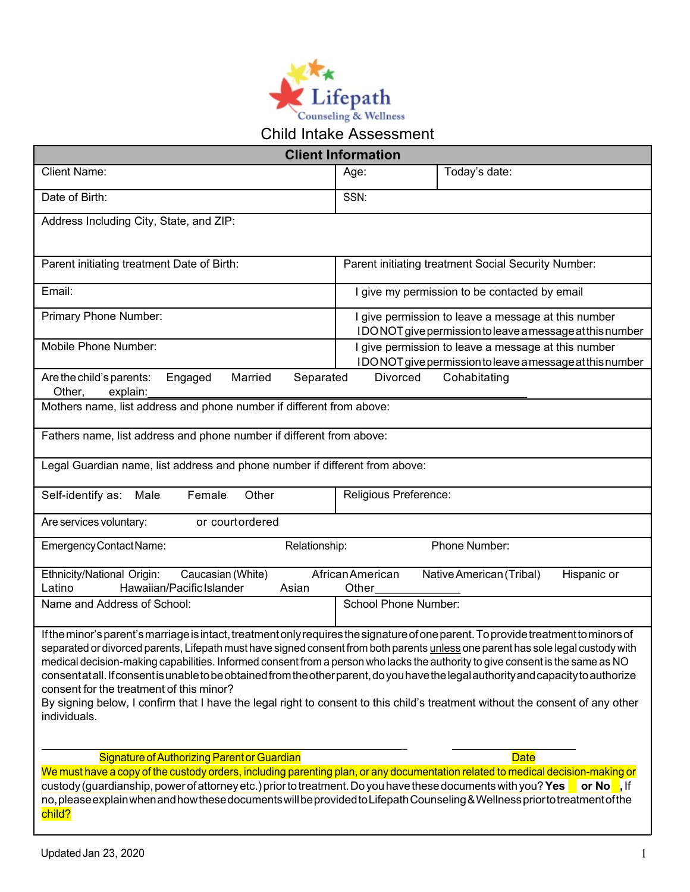

| <b>Client Information</b>                                                                                                                                                                                                                                                                                                                                                                                                                                                                                                                                                                                                                                                                                                                   |               |                             |                                                                                                                 |  |
|---------------------------------------------------------------------------------------------------------------------------------------------------------------------------------------------------------------------------------------------------------------------------------------------------------------------------------------------------------------------------------------------------------------------------------------------------------------------------------------------------------------------------------------------------------------------------------------------------------------------------------------------------------------------------------------------------------------------------------------------|---------------|-----------------------------|-----------------------------------------------------------------------------------------------------------------|--|
|                                                                                                                                                                                                                                                                                                                                                                                                                                                                                                                                                                                                                                                                                                                                             |               |                             |                                                                                                                 |  |
| <b>Client Name:</b>                                                                                                                                                                                                                                                                                                                                                                                                                                                                                                                                                                                                                                                                                                                         |               | Age:                        | Today's date:                                                                                                   |  |
| Date of Birth:                                                                                                                                                                                                                                                                                                                                                                                                                                                                                                                                                                                                                                                                                                                              |               | SSN:                        |                                                                                                                 |  |
| Address Including City, State, and ZIP:                                                                                                                                                                                                                                                                                                                                                                                                                                                                                                                                                                                                                                                                                                     |               |                             |                                                                                                                 |  |
|                                                                                                                                                                                                                                                                                                                                                                                                                                                                                                                                                                                                                                                                                                                                             |               |                             |                                                                                                                 |  |
| Parent initiating treatment Date of Birth:                                                                                                                                                                                                                                                                                                                                                                                                                                                                                                                                                                                                                                                                                                  |               |                             | Parent initiating treatment Social Security Number:                                                             |  |
| Email:                                                                                                                                                                                                                                                                                                                                                                                                                                                                                                                                                                                                                                                                                                                                      |               |                             | I give my permission to be contacted by email                                                                   |  |
| Primary Phone Number:                                                                                                                                                                                                                                                                                                                                                                                                                                                                                                                                                                                                                                                                                                                       |               |                             | I give permission to leave a message at this number<br>IDONOT give permission to leave a message at this number |  |
| Mobile Phone Number:                                                                                                                                                                                                                                                                                                                                                                                                                                                                                                                                                                                                                                                                                                                        |               |                             |                                                                                                                 |  |
|                                                                                                                                                                                                                                                                                                                                                                                                                                                                                                                                                                                                                                                                                                                                             |               |                             | I give permission to leave a message at this number<br>IDONOT give permission to leave a message at this number |  |
| Engaged<br>Married<br>Are the child's parents:<br>Other,<br>explain:                                                                                                                                                                                                                                                                                                                                                                                                                                                                                                                                                                                                                                                                        | Separated     | Divorced                    | Cohabitating                                                                                                    |  |
| Mothers name, list address and phone number if different from above:                                                                                                                                                                                                                                                                                                                                                                                                                                                                                                                                                                                                                                                                        |               |                             |                                                                                                                 |  |
| Fathers name, list address and phone number if different from above:                                                                                                                                                                                                                                                                                                                                                                                                                                                                                                                                                                                                                                                                        |               |                             |                                                                                                                 |  |
| Legal Guardian name, list address and phone number if different from above:                                                                                                                                                                                                                                                                                                                                                                                                                                                                                                                                                                                                                                                                 |               |                             |                                                                                                                 |  |
| Female<br>Self-identify as: Male<br>Other                                                                                                                                                                                                                                                                                                                                                                                                                                                                                                                                                                                                                                                                                                   |               | Religious Preference:       |                                                                                                                 |  |
| Are services voluntary:<br>or courtordered                                                                                                                                                                                                                                                                                                                                                                                                                                                                                                                                                                                                                                                                                                  |               |                             |                                                                                                                 |  |
| Emergency Contact Name:                                                                                                                                                                                                                                                                                                                                                                                                                                                                                                                                                                                                                                                                                                                     | Relationship: |                             | Phone Number:                                                                                                   |  |
| Caucasian (White)<br>Ethnicity/National Origin:<br>Hawaiian/Pacific Islander<br>Latino                                                                                                                                                                                                                                                                                                                                                                                                                                                                                                                                                                                                                                                      | Asian         | African American<br>Other   | Native American (Tribal)<br>Hispanic or                                                                         |  |
| Name and Address of School:                                                                                                                                                                                                                                                                                                                                                                                                                                                                                                                                                                                                                                                                                                                 |               | <b>School Phone Number:</b> |                                                                                                                 |  |
| If the minor's parent's marriage is intact, treatment only requires the signature of one parent. To provide treatment to minors of<br>separated or divorced parents, Lifepath must have signed consent from both parents unless one parent has sole legal custody with<br>medical decision-making capabilities. Informed consent from a person who lacks the authority to give consent is the same as NO<br>consentatall. If consent is unable to be obtained from the other parent, do you have the legal authority and capacity to authorize<br>consent for the treatment of this minor?<br>By signing below, I confirm that I have the legal right to consent to this child's treatment without the consent of any other<br>individuals. |               |                             |                                                                                                                 |  |
| Signature of Authorizing Parent or Guardian                                                                                                                                                                                                                                                                                                                                                                                                                                                                                                                                                                                                                                                                                                 |               |                             | <b>Date</b>                                                                                                     |  |
| We must have a copy of the custody orders, including parenting plan, or any documentation related to medical decision-making or                                                                                                                                                                                                                                                                                                                                                                                                                                                                                                                                                                                                             |               |                             |                                                                                                                 |  |

**custody (guardianship, power of attorney etc.) prior to treatment. Do you have these documents with you? Yes <b>complet**, If no,pleaseexplainwhenandhowthesedocumentswillbeprovidedtoLifepathCounseling&Wellnesspriortotreatmentofthe child?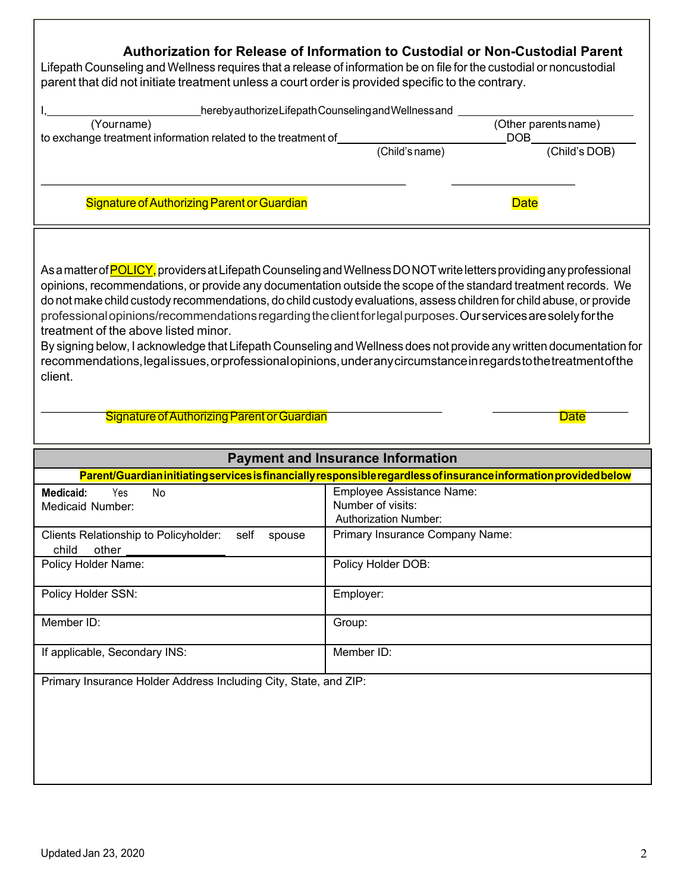| Authorization for Release of Information to Custodial or Non-Custodial Parent<br>Lifepath Counseling and Wellness requires that a release of information be on file for the custodial or noncustodial<br>parent that did not initiate treatment unless a court order is provided specific to the contrary.                                                                                                                                                                                                                                                                                                                                                                                                                                                                                                                                       |                                                    |                                    |
|--------------------------------------------------------------------------------------------------------------------------------------------------------------------------------------------------------------------------------------------------------------------------------------------------------------------------------------------------------------------------------------------------------------------------------------------------------------------------------------------------------------------------------------------------------------------------------------------------------------------------------------------------------------------------------------------------------------------------------------------------------------------------------------------------------------------------------------------------|----------------------------------------------------|------------------------------------|
|                                                                                                                                                                                                                                                                                                                                                                                                                                                                                                                                                                                                                                                                                                                                                                                                                                                  | herebyauthorizeLifepathCounseling and Wellness and |                                    |
| (Yourname)<br>to exchange treatment information related to the treatment of                                                                                                                                                                                                                                                                                                                                                                                                                                                                                                                                                                                                                                                                                                                                                                      |                                                    | (Other parents name)<br><b>DOB</b> |
|                                                                                                                                                                                                                                                                                                                                                                                                                                                                                                                                                                                                                                                                                                                                                                                                                                                  | (Child's name)                                     | (Child's DOB)                      |
| Signature of Authorizing Parent or Guardian                                                                                                                                                                                                                                                                                                                                                                                                                                                                                                                                                                                                                                                                                                                                                                                                      |                                                    | <b>Date</b>                        |
| As a matter of <b>POLICY</b> , providers at Lifepath Counseling and Wellness DO NOT write letters providing any professional<br>opinions, recommendations, or provide any documentation outside the scope of the standard treatment records. We<br>do not make child custody recommendations, do child custody evaluations, assess children for child abuse, or provide<br>professional opinions/recommendations regarding the client for legal purposes. Our services are solely for the<br>treatment of the above listed minor.<br>By signing below, I acknowledge that Lifepath Counseling and Wellness does not provide any written documentation for<br>recommendations, legal issues, or professional opinions, under any circumstance in regards to the treatment of the<br>client.<br><b>Signature of Authorizing Parent or Guardian</b> |                                                    | <b>Date</b>                        |
|                                                                                                                                                                                                                                                                                                                                                                                                                                                                                                                                                                                                                                                                                                                                                                                                                                                  | <b>Payment and Insurance Information</b>           |                                    |
| Parent/Guardian initiating services is financially responsible regardless of insurance information provided below                                                                                                                                                                                                                                                                                                                                                                                                                                                                                                                                                                                                                                                                                                                                |                                                    |                                    |
| <b>Medicaid:</b><br>Yes.<br>No<br>Medicaid Number:                                                                                                                                                                                                                                                                                                                                                                                                                                                                                                                                                                                                                                                                                                                                                                                               | Employee Assistance Name:<br>Number of visits:     |                                    |
|                                                                                                                                                                                                                                                                                                                                                                                                                                                                                                                                                                                                                                                                                                                                                                                                                                                  | <b>Authorization Number:</b>                       |                                    |
| Clients Relationship to Policyholder:<br>self<br>spouse<br>child<br>other                                                                                                                                                                                                                                                                                                                                                                                                                                                                                                                                                                                                                                                                                                                                                                        | Primary Insurance Company Name:                    |                                    |
| Policy Holder Name:                                                                                                                                                                                                                                                                                                                                                                                                                                                                                                                                                                                                                                                                                                                                                                                                                              | Policy Holder DOB:                                 |                                    |
| Policy Holder SSN:                                                                                                                                                                                                                                                                                                                                                                                                                                                                                                                                                                                                                                                                                                                                                                                                                               | Employer:                                          |                                    |
| Member ID:                                                                                                                                                                                                                                                                                                                                                                                                                                                                                                                                                                                                                                                                                                                                                                                                                                       | Group:                                             |                                    |
| If applicable, Secondary INS:                                                                                                                                                                                                                                                                                                                                                                                                                                                                                                                                                                                                                                                                                                                                                                                                                    | Member ID:                                         |                                    |
| Primary Insurance Holder Address Including City, State, and ZIP:                                                                                                                                                                                                                                                                                                                                                                                                                                                                                                                                                                                                                                                                                                                                                                                 |                                                    |                                    |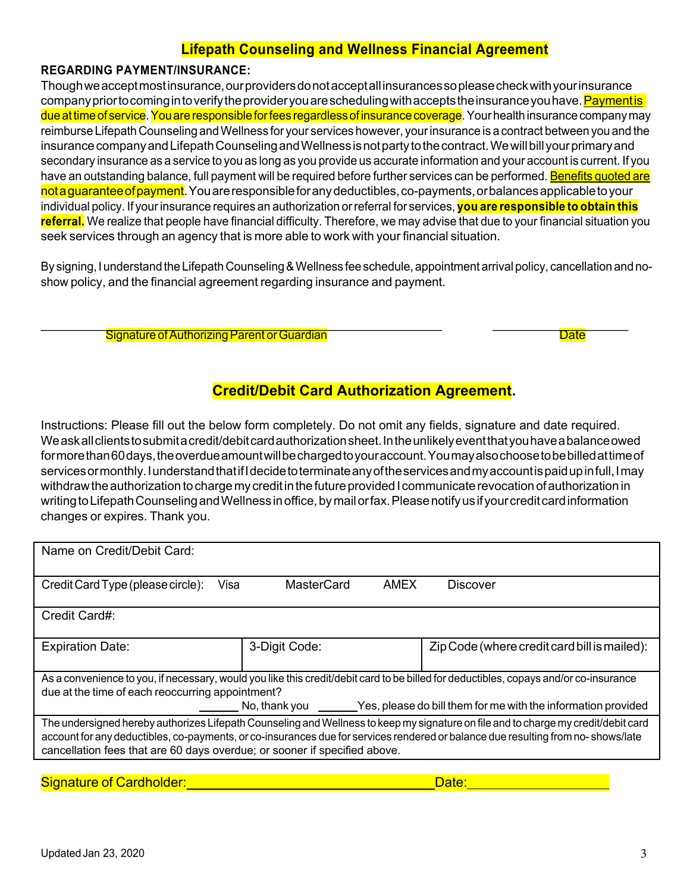# **Lifepath Counseling and Wellness Financial Agreement**

## **REGARDING PAYMENT/INSURANCE:**

Though we accept most insurance, our providers do not accept all insurances so please check with your insurance company prior to coming in to verify the provider you are scheduling with accepts the insurance you have. <mark>Payment is</mark> due at time of service. You are responsible for fees regardless of insurance coverage. Your health insurance company may reimburse Lifepath Counseling andWellness for your services however, yourinsurance is a contract between you and the insurance company and Lifepath Counseling and Wellness is not party to the contract. We will bill your primary and secondary insurance as a service to you as long as you provide us accurate information and your account is current. If you have an outstanding balance, full payment will be required before further services can be performed. Benefits quoted are nota guarantee of payment. You are responsible for any deductibles, co-payments, or balances applicable to your individual policy. If yourinsurance requires an authorization orreferral for services, **you are responsible to obtain this referral.** We realize that people have financial difficulty. Therefore, we may advise that due to your financial situation you seek services through an agency that is more able to work with your financial situation.

By signing, I understand the Lifepath Counseling & Wellness fee schedule, appointment arrival policy, cancellation and noshow policy, and the financial agreement regarding insurance and payment.

Signature of Authorizing Parent or Guardian **Date of Authorizing Parent Control Control** Date Date

# **Credit/Debit Card Authorization Agreement.**

Instructions: Please fill out the below form completely. Do not omit any fields, signature and date required. Weaskallclientstosubmitacredit/debitcardauthorizationsheet.Intheunlikelyeventthatyouhaveabalanceowed formorethan60days, the overdue amount will be charged to your account. You may also choose to be billed at time of services or monthly. I understand that if I decide to terminate any of the services and my account is paid up in full, I may withdraw the authorization to charge my credit in the future provided I communicate revocation of authorization in writing to Lifepath Counseling and Wellness in office, by mail or fax. Please notify us if your credit card information changes or expires. Thank you.

| Name on Credit/Debit Card:                                                                                                                                                                                                                                                                                                                          |                      |                                                                                                                                       |  |
|-----------------------------------------------------------------------------------------------------------------------------------------------------------------------------------------------------------------------------------------------------------------------------------------------------------------------------------------------------|----------------------|---------------------------------------------------------------------------------------------------------------------------------------|--|
| Credit Card Type (please circle):<br>Visa                                                                                                                                                                                                                                                                                                           | MasterCard           | AMEX<br>Discover                                                                                                                      |  |
| Credit Card#:                                                                                                                                                                                                                                                                                                                                       |                      |                                                                                                                                       |  |
| <b>Expiration Date:</b>                                                                                                                                                                                                                                                                                                                             | 3-Digit Code:        | Zip Code (where credit card bill is mailed):                                                                                          |  |
|                                                                                                                                                                                                                                                                                                                                                     |                      | As a convenience to you, if necessary, would you like this credit/debit card to be billed for deductibles, copays and/or co-insurance |  |
| due at the time of each reoccurring appointment?                                                                                                                                                                                                                                                                                                    |                      |                                                                                                                                       |  |
|                                                                                                                                                                                                                                                                                                                                                     | No, thank you ______ | Yes, please do bill them for me with the information provided                                                                         |  |
| The undersigned hereby authorizes Lifepath Counseling and Wellness to keep my signature on file and to charge my credit/debit card<br>account for any deductibles, co-payments, or co-insurances due for services rendered or balance due resulting from no-shows/late<br>cancellation fees that are 60 days overdue; or sooner if specified above. |                      |                                                                                                                                       |  |
|                                                                                                                                                                                                                                                                                                                                                     |                      |                                                                                                                                       |  |

Signature of Cardholder: New York Card Annual Control of Cardholder: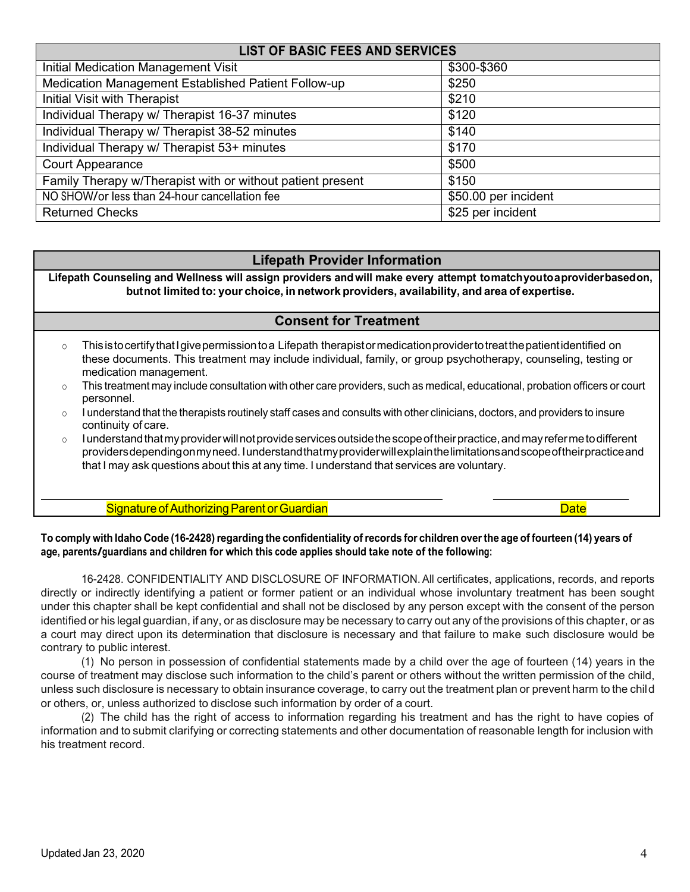| <b>LIST OF BASIC FEES AND SERVICES</b>                     |                      |  |  |
|------------------------------------------------------------|----------------------|--|--|
| <b>Initial Medication Management Visit</b>                 | \$300-\$360          |  |  |
| Medication Management Established Patient Follow-up        | \$250                |  |  |
| <b>Initial Visit with Therapist</b>                        | \$210                |  |  |
| Individual Therapy w/ Therapist 16-37 minutes              | \$120                |  |  |
| Individual Therapy w/ Therapist 38-52 minutes              | \$140                |  |  |
| Individual Therapy w/ Therapist 53+ minutes                | \$170                |  |  |
| <b>Court Appearance</b>                                    | \$500                |  |  |
| Family Therapy w/Therapist with or without patient present | \$150                |  |  |
| NO SHOW/or less than 24-hour cancellation fee              | \$50.00 per incident |  |  |
| <b>Returned Checks</b>                                     | \$25 per incident    |  |  |

# **Lifepath Provider Information**

**Lifepath Counseling and Wellness will assign providers andwill make every attempt tomatchyoutoaproviderbasedon, butnot limited to: your choice, in network providers, availability, and area of expertise.**

# **Consent for Treatment**

- $\circ$  This is to certify that I give permission to a Lifepath therapist or medication provider to treat the patient identified on these documents. This treatment may include individual, family, or group psychotherapy, counseling, testing or medication management.
- o This treatment may include consultation with other care providers, such as medical, educational, probation officers or court personnel.
- $\circ$  I understand that the therapists routinely staff cases and consults with other clinicians, doctors, and providers to insure continuity of care.
- o lunderstand that my provider will not provide services outside the scope of their practice, and may refer me to different providersdependingonmyneed. Iunderstandthatmyproviderwillexplainthelimitationsandscopeoftheirpracticeand that I may ask questions about this at any time. I understand that services are voluntary.

#### Signature of Authorizing Parent or Guardian Date Date of Authorizing Parent or Guardian Date Date

## To comply with Idaho Code (16-2428) regarding the confidentiality of records for children over the age of fourteen (14) years of **age, parents/guardians and children for which this code applies should take note of the following:**

16-2428. CONFIDENTIALITY AND DISCLOSURE OF INFORMATION.All certificates, applications, records, and reports directly or indirectly identifying a patient or former patient or an individual whose involuntary treatment has been sought under this chapter shall be kept confidential and shall not be disclosed by any person except with the consent of the person identified or his legal guardian, if any, or as disclosure may be necessary to carry out any of the provisions of this chapter, or as a court may direct upon its determination that disclosure is necessary and that failure to make such disclosure would be contrary to public interest.

(1) No person in possession of confidential statements made by a child over the age of fourteen (14) years in the course of treatment may disclose such information to the child's parent or others without the written permission of the child, unless such disclosure is necessary to obtain insurance coverage, to carry out the treatment plan or prevent harm to the child or others, or, unless authorized to disclose such information by order of a court.

(2) The child has the right of access to information regarding his treatment and has the right to have copies of information and to submit clarifying or correcting statements and other documentation of reasonable length for inclusion with his treatment record.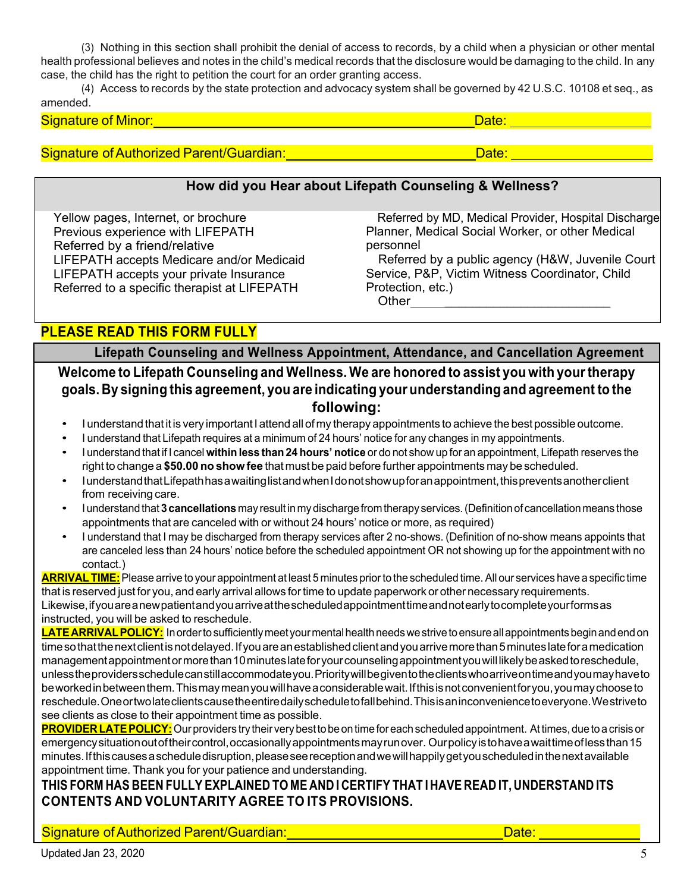(3) Nothing in this section shall prohibit the denial of access to records, by a child when a physician or other mental health professional believes and notes in the child's medical records that the disclosure would be damaging to the child. In any case, the child has the right to petition the court for an order granting access.

(4) Access to records by the state protection and advocacy system shall be governed by 42 U.S.C. 10108 et seq., as amended.

| <b><i>Charles Committee Committee Committee</i></b> |  |
|-----------------------------------------------------|--|

# Signature of Authorized Parent/Guardian: \_\_\_\_\_\_\_\_\_\_\_\_\_\_\_\_\_\_\_\_\_\_\_\_\_\_\_\_\_\_\_\_\_\_Date: \_\_\_\_\_\_\_\_\_\_\_\_\_\_\_\_\_\_\_\_\_\_\_\_\_\_\_\_\_

# **How did you Hear about Lifepath Counseling & Wellness?**

 Yellow pages, Internet, or brochure Previous experience with LIFEPATH Referred by a friend/relative LIFEPATH accepts Medicare and/or Medicaid LIFEPATH accepts your private Insurance Referred to a specific therapist at LIFEPATH

 Referred by MD, Medical Provider, Hospital Discharge Planner, Medical Social Worker, or other Medical personnel

 Referred by a public agency (H&W, Juvenile Court Service, P&P, Victim Witness Coordinator, Child Protection, etc.) Other

**PLEASE READ THIS FORM FULLY**

**Lifepath Counseling and Wellness Appointment, Attendance, and Cancellation Agreement Welcome to Lifepath Counseling and Wellness. We are honored to assist you with yourtherapy goals. By signing this agreement, you are indicating your understanding and agreement to the following:**

- I understand that it is very important I attend all of my therapy appointments to achieve the best possible outcome.
- I understand that Lifepath requires at a minimum of 24 hours' notice for any changes in my appointments.
- I understand that if I cancel **withinless than24 hours' notice** or do not show up for an appointment, Lifepath reserves the right to change a **\$50.00 no show fee** that must be paid before further appointments may be scheduled.
- IunderstandthatLifepathhasawaitinglistandwhenIdonotshowupforanappointment,thispreventsanotherclient from receiving care.
- Iunderstandthat **3cancellations** may resultinmydischargefromtherapy services.(Definitionof cancellationmeans those appointments that are canceled with or without 24 hours' notice or more, as required)
- I understand that I may be discharged from therapy services after 2 no-shows. (Definition of no-show means appoints that are canceled less than 24 hours' notice before the scheduled appointment OR not showing up for the appointment with no contact.)

**ARRIVALTIME:**Please arrive to your appointment at least 5 minutes priorto the scheduled time. All our services have a specific time that is reserved just for you, and early arrival allows fortime to update paperwork or other necessary requirements. Likewise,ifyouareanewpatientandyouarriveatthescheduledappointmenttimeandnotearlytocompleteyourformsas instructed, you will be asked to reschedule.

LATEARRIVALPOLICY: In order to sufficiently meet your mental health needs we strive to ensure all appointments begin and end on time so that the next client is not delayed. If you are an established client and you arrive more than 5 minutes late for a medication managementappointment or more than 10 minutes late for your counseling appointment you will likely be asked to reschedule, unlesstheprovidersschedulecanstillaccommodateyou.Prioritywillbegiventotheclientswhoarriveontimeandyoumayhaveto beworkedinbetweenthem.Thismaymeanyouwillhaveaconsiderablewait.Ifthisisnotconvenientforyou,youmaychooseto reschedule.Oneortwolateclientscausetheentiredailyscheduletofallbehind.Thisisaninconveniencetoeveryone.Westriveto see clients as close to their appointment time as possible.

PROVIDER LATE POLICY: Our providers try their very best to be on time for each scheduled appointment. At times, due to a crisis or emergencysituationoutoftheircontrol,occasionallyappointmentsmayrunover. Ourpolicyistohaveawaittimeoflessthan15 minutes.Ifthiscausesascheduledisruption,pleaseseereceptionandwewillhappilygetyouscheduledinthenextavailable appointment time. Thank you for your patience and understanding.

**THIS FORM HAS BEEN FULLY EXPLAINED TO ME AND I CERTIFY THAT I HAVE READ IT, UNDERSTAND ITS CONTENTS AND VOLUNTARITY AGREE TO ITS PROVISIONS.**

Signature of Authorized Parent/Guardian: Network Contract Contract Contract Contract Contract Contract Contract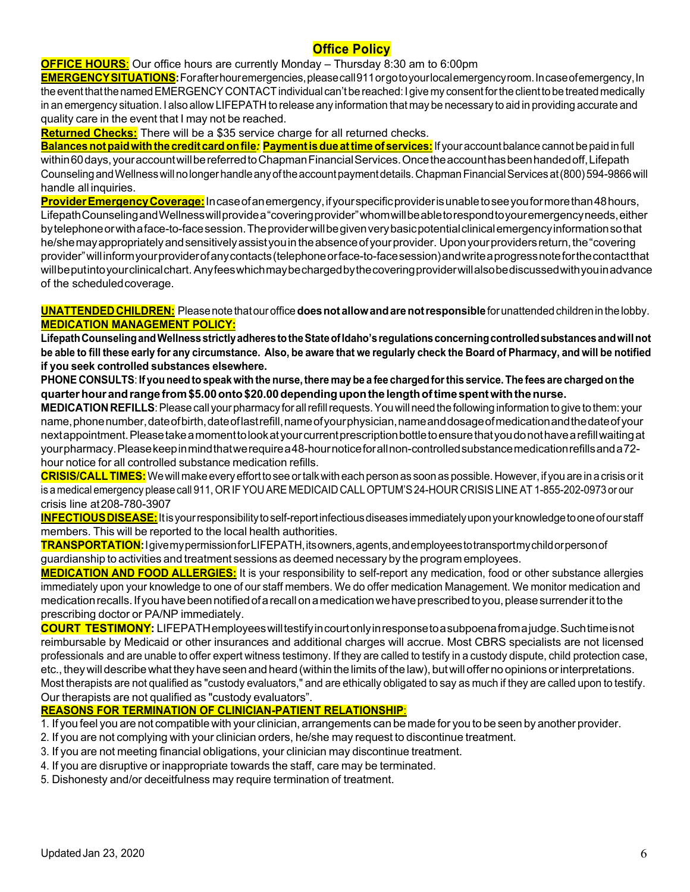# **Office Policy**

**OFFICE HOURS**: Our office hours are currently Monday – Thursday 8:30 am to 6:00pm

**EMERGENCYSITUATIONS:**Forafterhouremergencies,pleasecall911orgotoyourlocalemergencyroom.Incaseofemergency,In the event that the named EMERGENCY CONTACT individual can't be reached: I give my consent for the client to be treated medically in an emergency situation. I also allow LIFEPATH to release any information that may be necessary to aid in providing accurate and quality care in the event that I may not be reached.

**Returned Checks:** There will be a \$35 service charge for all returned checks.

**Balances not paid with the credit card on file:** Payment is due at time of services: If your account balance cannot be paid in full within60 days, your account will be referred to Chapman Financial Services. Once the account has been handed off, Lifepath CounselingandWellnesswillnolongerhandleanyoftheaccountpaymentdetails.ChapmanFinancialServicesat(800)594-9866will handle all inquiries.

**ProviderEmergencyCoverage:**Incaseofanemergency,ifyourspecificproviderisunabletoseeyouformorethan48hours, LifepathCounselingandWellnesswillprovidea"coveringprovider"whomwillbeabletorespondtoyouremergencyneeds,either bytelephoneorwithaface-to-facesession.Theproviderwillbegivenverybasicpotentialclinicalemergencyinformationsothat he/she may appropriately and sensitively assistyou in the absence of your provider. Upon your providers return, the "covering provider"willinformyourproviderofanycontacts(telephoneorface-to-facesession)andwriteaprogressnoteforthecontactthat willbeputintoyourclinicalchart.Anyfeeswhichmaybechargedbythecoveringproviderwillalsobediscussedwithyouinadvance of the scheduledcoverage.

**UNATTENDEDCHILDREN:** Pleasenotethatouroffice**doesnotallowandarenotresponsible**forunattendedchildrenin thelobby. **MEDICATION MANAGEMENT POLICY:**

Lifepath Counseling and Wellness strictly adheres to the State of Idaho's regulations concerning controlled substances and will not be able to fill these early for any circumstance. Also, be aware that we regularly check the Board of Pharmacy, and will be notified **if you seek controlled substances elsewhere.**

PHONE CONSULTS: If you need to speak with the nurse, there may be a fee charged for this service. The fees are charged on the **quarterhourandrangefrom\$5.00onto\$20.00dependinguponthelengthoftimespentwiththenurse.**

**MEDICATION REFILLS**: Please call your pharmacy for all refill requests. You will need the following information to give to them: your name, phonenumber, date of birth, date of last refill, name of your physician, name and dosage of medication and the date of your nextappointment.Pleasetakeamomenttolookatyourcurrentprescriptionbottletoensurethatyoudonothavearefillwaitingat yourpharmacy.Pleasekeepinmindthatwerequirea48-hournoticeforallnon-controlledsubstancemedicationrefillsanda72 hour notice for all controlled substance medication refills.

**CRISIS/CALLTIMES:**Wewillmakeeveryefforttosee ortalkwitheachpersonas soonas possible.However,if youare inacrisis orit is a medical emergency please call 911, OR IFYOU ARE MEDICAID CALL OPTUM'S24-HOUR CRISISLINE AT 1-855-202-0973 or our crisis line at208-780-3907

INFECTIOUS DISEASE: It is your responsibility to self-report infectious diseases immediately upon your knowledge to one of our staff members. This will be reported to the local health authorities.

**TRANSPORTATION:**IgivemypermissionforLIFEPATH,itsowners,agents,andemployeestotransportmychildorpersonof guardianship to activities and treatment sessions as deemed necessary by the program employees.

**MEDICATION AND FOOD ALLERGIES:** It is your responsibility to self-report any medication, food or other substance allergies immediately upon your knowledge to one of our staff members. We do offer medication Management. We monitor medication and medication recalls. If you have been notified of a recall on a medication we have prescribed to you, please surrender it to the prescribing doctor or PA/NP immediately.

**COURT TESTIMONY:** LIFEPATHemployeeswilltestifyincourtonlyinresponsetoasubpoenafromajudge.Suchtimeisnot reimbursable by Medicaid or other insurances and additional charges will accrue. Most CBRS specialists are not licensed professionals and are unable to offer expert witness testimony. If they are called to testify in a custody dispute, child protection case, etc., they will describe what they have seen and heard (within the limits of the law), but will offer no opinions or interpretations. Most therapists are not qualified as "custody evaluators," and are ethically obligated to say as much if they are called upon to testify. Our therapists are not qualified as "custody evaluators".

# **REASONS FOR TERMINATION OF CLINICIAN-PATIENT RELATIONSHIP**:

1. If you feel you are not compatible with your clinician, arrangements can be made for you to be seen by another provider.

- 2. If you are not complying with your clinician orders, he/she may request to discontinue treatment.
- 3. If you are not meeting financial obligations, your clinician may discontinue treatment.
- 4. If you are disruptive or inappropriate towards the staff, care may be terminated.
- 5. Dishonesty and/or deceitfulness may require termination of treatment.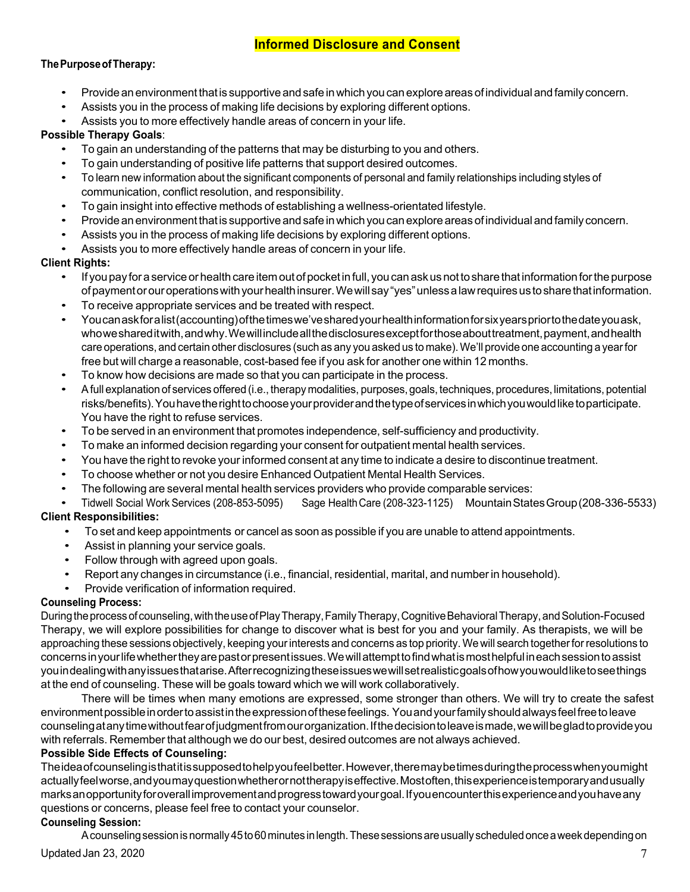# **Informed Disclosure and Consent**

## **ThePurposeofTherapy:**

- Provide an environment that is supportive and safe in which you can explore areas of individual and family concern.
- Assists you in the process of making life decisions by exploring different options.
- Assists you to more effectively handle areas of concern in your life.

## **Possible Therapy Goals**:

- To gain an understanding of the patterns that may be disturbing to you and others.
- To gain understanding of positive life patterns that support desired outcomes.
- To learn new information about the significant components of personal and family relationships including styles of communication, conflict resolution, and responsibility.
- To gain insight into effective methods of establishing a wellness-orientated lifestyle.
- Provideanenvironmentthatis supportiveandsafeinwhichyoucanexploreareas ofindividualandfamily concern.
- Assists you in the process of making life decisions by exploring different options.
- Assists you to more effectively handle areas of concern in your life.

## **Client Rights:**

- If you pay for a service or health care item out of pocket in full, you can ask us not to share that information for the purpose ofpaymentorouroperationswithyourhealthinsurer.Wewillsay"yes"unlessalawrequiresustosharethatinformation.
- To receive appropriate services and be treated with respect.
- Youcanaskforalist(accounting)ofthetimeswe'vesharedyourhealthinformationforsixyearspriortothedateyouask, whoweshareditwith, and why. We will include all the disclosures except for those about treatment, payment, and health care operations, and certain other disclosures (such as any you asked us to make).We'll provide one accounting a yearfor free but will charge a reasonable, cost-based fee if you ask for another one within 12 months.
- To know how decisions are made so that you can participate in the process.
- Afull explanation of services offered (i.e., therapy modalities, purposes, goals, techniques, procedures, limitations, potential risks/benefits).Youhavetherighttochooseyourproviderandthetypeofservicesinwhichyouwouldliketoparticipate. You have the right to refuse services.
- To be served in an environment that promotes independence, self-sufficiency and productivity.
- To make an informed decision regarding your consent for outpatient mental health services.
- You have the right to revoke your informed consent at any time to indicate a desire to discontinue treatment.
- To choose whether or not you desire Enhanced Outpatient Mental Health Services.
- The following are several mental health services providers who provide comparable services:

• Tidwell Social Work Services (208-853-5095) Sage HealthCare (208-323-1125) MountainStatesGroup(208-336-5533)

# **Client Responsibilities:**

- To set and keep appointments or cancel as soon as possible if you are unable to attend appointments.
- Assist in planning your service goals.
- Follow through with agreed upon goals.
- Report any changes in circumstance (i.e., financial, residential, marital, and number in household).
- Provide verification of information required.

#### **Counseling Process:**

During the process of counseling, with the use of Play Therapy, Family Therapy, Cognitive Behavioral Therapy, and Solution-Focused Therapy, we will explore possibilities for change to discover what is best for you and your family. As therapists, we will be approaching these sessions objectively, keeping your interests and concerns as top priority. We will search together for resolutions to concernsinyourlifewhethertheyarepastorpresentissues.Wewillattempttofindwhatismosthelpfulineachsessiontoassist youindealingwithanyissuesthatarise.Afterrecognizingtheseissueswewillsetrealisticgoalsofhowyouwouldliketoseethings at the end of counseling. These will be goals toward which we will work collaboratively.

There will be times when many emotions are expressed, some stronger than others. We will try to create the safest environmentpossibleinordertoassistintheexpressionofthesefeelings. Youandyourfamilyshouldalwaysfeelfreetoleave counselingatanytimewithoutfearofjudgmentfromourorganization.Ifthedecisiontoleaveismade,wewillbegladtoprovideyou with referrals. Remember that although we do our best, desired outcomes are not always achieved.

### **Possible Side Effects of Counseling:**

Theideaofcounselingisthatitissupposedtohelpyoufeelbetter.However,theremaybetimesduringtheprocesswhenyoumight actuallyfeelworse,andyoumayquestionwhetherornottherapyiseffective.Mostoften,thisexperienceistemporaryandusually marksanopportunityforoverallimprovementandprogresstowardyourgoal.Ifyouencounterthisexperienceandyouhaveany questions or concerns, please feel free to contact your counselor.

#### **Counseling Session:**

A counseling session is normally 45 to 60 minutes in length. These sessions are usually scheduled once a week depending on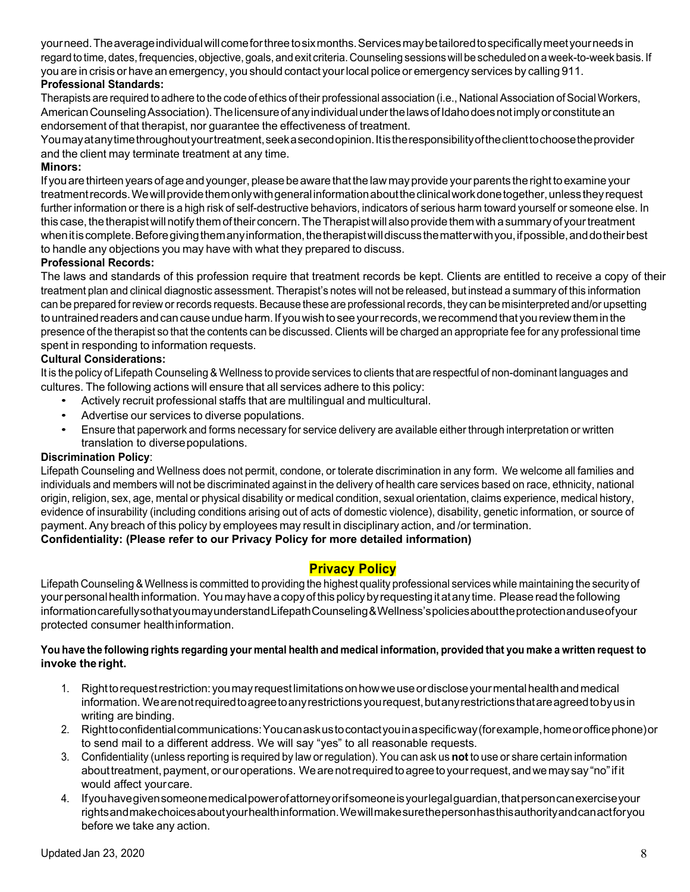yourneed.Theaverageindividualwillcomeforthreetosixmonths.Servicesmaybetailoredtospecificallymeetyourneeds in regard to time, dates, frequencies, objective, goals, and exit criteria. Counseling sessions will be scheduled on a week-to-week basis. If you are in crisis or have an emergency, you should contact yourlocal police or emergency services by calling 911.

## **Professional Standards:**

Therapists are required to adhere to the code of ethics of their professional association (i.e., National Association of Social Workers, American Counseling Association). The licensure of any individual under the laws of Idahodoes not imply or constitute an endorsement of that therapist, nor guarantee the effectiveness of treatment.

Youmayatanytimethroughoutyourtreatment,seekasecondopinion.Itistheresponsibilityoftheclienttochoosetheprovider and the client may terminate treatment at any time.

#### **Minors:**

If you are thirteen years of age and younger, please be aware that the law may provide your parents the right to examine your treatmentrecords.Wewillprovidethemonlywithgeneralinformationabouttheclinicalworkdonetogether,unlesstheyrequest further information or there is a high risk of self-destructive behaviors, indicators of serious harm toward yourself or someone else. In this case, the therapist will notify them of their concern. The Therapist will also provide them with a summary of your treatment when it is complete. Before giving them any information, the therapist will discuss the matter with you, if possible, and do their best to handle any objections you may have with what they prepared to discuss.

#### **Professional Records:**

The laws and standards of this profession require that treatment records be kept. Clients are entitled to receive a copy of their treatment plan and clinical diagnostic assessment. Therapist's notes will not be released, but instead a summary of this information can be prepared for review or records requests. Because these are professional records, they can be misinterpreted and/or upsetting to untrained readers and can cause undue harm. If you wish to see your records, we recommend that you review them in the presence of the therapist so that the contents can be discussed. Clients will be charged an appropriate fee for any professional time spent in responding to information requests.

#### **Cultural Considerations:**

It is the policy of Lifepath Counseling & Wellness to provide services to clients that are respectful of non-dominant languages and cultures. The following actions will ensure that all services adhere to this policy:

- Actively recruit professional staffs that are multilingual and multicultural.
- Advertise our services to diverse populations.
- Ensure that paperwork and forms necessary for service delivery are available either through interpretation or written translation to diverse populations.

#### **Discrimination Policy**:

Lifepath Counseling and Wellness does not permit, condone, or tolerate discrimination in any form. We welcome all families and individuals and members will not be discriminated against in the delivery of health care services based on race, ethnicity, national origin, religion, sex, age, mental or physical disability or medical condition, sexual orientation, claims experience, medical history, evidence of insurability (including conditions arising out of acts of domestic violence), disability, genetic information, or source of payment. Any breach of this policy by employees may result in disciplinary action, and /or termination. **Confidentiality: (Please refer to our Privacy Policy for more detailed information)**

# **Privacy Policy**

Lifepath Counseling&Wellness is committed to providing the highest quality professional services while maintaining the security of yourpersonalhealthinformation. Youmayhave acopyof thispolicybyrequestingitatany time. Pleasereadthefollowing informationcarefullysothatyoumayunderstandLifepathCounseling&Wellness'spoliciesabouttheprotectionanduseofyour protected consumer healthinformation.

#### You have the following rights regarding your mental health and medical information, provided that you make a written request to **invoke the right.**

- 1. Righttorequestrestriction: youmayrequestlimitationsonhowweuseordiscloseyourmentalhealthandmedical information. We are not required to agree to any restrictions you request, but any restrictions that are agreed to by us in writing are binding.
- 2. Righttoconfidentialcommunications:Youcanaskustocontactyouinaspecificway(forexample,homeorofficephone)or to send mail to a different address. We will say "yes" to all reasonable requests.
- 3. Confidentiality (unless reporting is required by law or regulation). You can ask us **not** to use or share certain information about treatment, payment, or our operations. We are not required to agree to your request, and we may say "no" if it would affect yourcare.
- 4. Ifyouhavegivensomeonemedicalpowerofattorneyorifsomeoneisyourlegalguardian,thatpersoncanexerciseyour rightsandmakechoicesaboutyourhealthinformation.Wewillmakesurethepersonhasthisauthorityandcanactforyou before we take any action.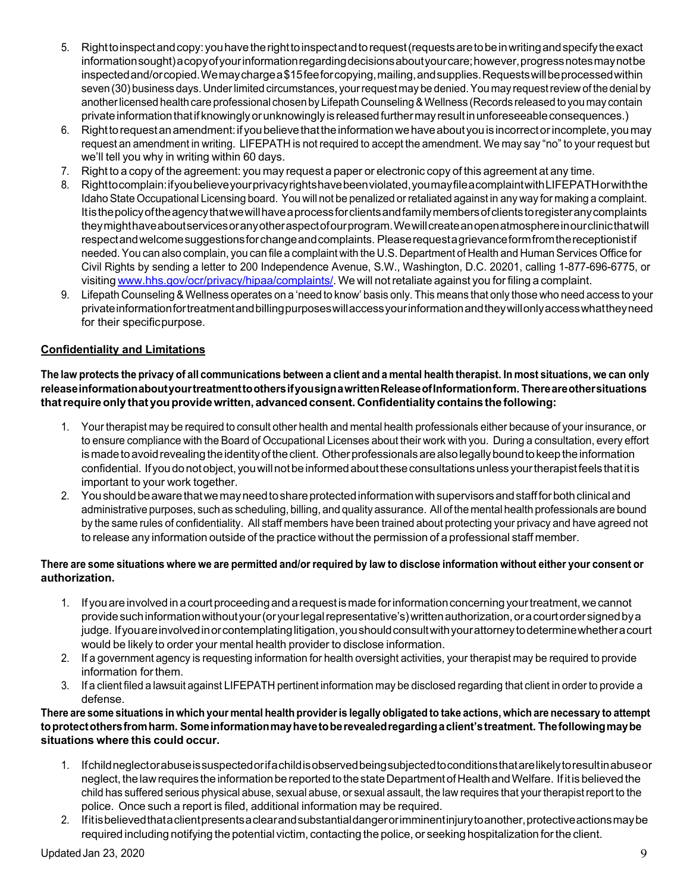- 5. Righttoinspectandcopy:youhavetherighttoinspectandtorequest(requestsaretobeinwritingandspecifytheexact information sought) a copy of your information regarding decisions about your care; however, progress notes may not be inspectedand/orcopied.Wemaychargea\$15feeforcopying, mailing, and supplies.Requests will be processed within seven (30) business days.Underlimited circumstances, yourrequestmay be denied.You may requestreview of the denial by another licensed health care professional chosen by Lifepath Counseling & Wellness (Records released to you may contain privateinformationthatif knowinglyorunknowinglyisreleasedfurthermayresultinunforeseeableconsequences.)
- 6. Righttorequestanamendment:ifyoubelievethattheinformationwehaveaboutyouis incorrectorincomplete, youmay request an amendment in writing. LIFEPATH is not required to accept the amendment. We may say "no" to your request but we'll tell you why in writing within 60 days.
- 7. Right to a copy of the agreement: you may request a paper or electronic copy of this agreement at any time.
- 8. Righttocomplain:ifyoubelieveyourprivacyrightshavebeenviolated,youmayfileacomplaintwithLIFEPATHorwiththe IdahoState Occupational Licensing board. You will not be penalized orretaliated against in any way for making a complaint. Itisthepolicyoftheagencythatwewillhaveaprocessforclientsandfamilymembersofclientstoregisteranycomplaints theymighthaveaboutservicesoranyotheraspectofourprogram.Wewillcreateanopenatmosphereinourclinicthatwill respectandwelcomesuggestionsforchangeandcomplaints. Pleaserequestagrievanceformfromthereceptionistif needed. You can also complain, you can file a complaint with the U.S. Department of Health and Human Services Office for Civil Rights by sending a letter to 200 Independence Avenue, S.W., Washington, D.C. 20201, calling 1-877-696-6775, or visiting www.hhs.gov/ocr/privacy/hipaa/complaints/. We will notretaliate against you forfiling a complaint.
- 9. Lifepath Counseling& Wellness operates on a 'need to know' basis only. This means that only those who need access to your privateinformationfortreatmentandbillingpurposeswillaccessyourinformationandtheywillonlyaccesswhattheyneed for their specificpurpose.

## **Confidentiality and Limitations**

The law protects the privacy of all communications between a client and a mental health therapist. In most situations, we can only **releaseinformationaboutyourtreatmenttoothersifyousignawrittenReleaseofInformationform. Thereareothersituations thatrequireonlythatyouprovidewritten, advancedconsent. Confidentiality containsthefollowing:**

- 1. Your therapist may be required to consult other health and mental health professionals either because of your insurance, or to ensure compliance with the Board of Occupational Licenses about their work with you. During a consultation, every effort is made to avoid revealing the identity of the client. Other professionals are also legally bound to keep the information confidential. Ifyoudonotobject,youwillnotbeinformedabouttheseconsultationsunless yourtherapistfeels thatitis important to your work together.
- 2. You should be aware that we may need to share protected information with supervisors and staff for both clinical and administrative purposes, such as scheduling, billing, and quality assurance. All of the mental health professionals are bound by the same rules of confidentiality. All staff members have been trained about protecting your privacy and have agreed not to release any information outside of the practice without the permission of a professional staff member.

#### There are some situations where we are permitted and/or required by law to disclose information without either your consent or **authorization.**

- 1. Ifyouareinvolvedin acourtproceedingandarequestismade forinformationconcerningyourtreatment,wecannot provide such information without your (or your legal representative's) written authorization, or a court order signed by a judge. If you are involved in or contemplating litigation, you should consult with your attorney to determine whether a court would be likely to order your mental health provider to disclose information.
- 2. If a government agency is requesting information for health oversight activities, your therapist may be required to provide information forthem.
- 3. If a client filed a lawsuit against LIFEPATH pertinent information may be disclosed regarding that client in order to provide a defense.

#### There are some situations in which your mental health provider is legally obligated to take actions, which are necessary to attempt **toprotectothersfromharm. Someinformationmayhavetoberevealedregardingaclient'streatment. Thefollowingmaybe situations where this could occur.**

- 1. Ifchildneglectorabuseissuspectedorifachildisobservedbeingsubjectedtoconditionsthatarelikelytoresultinabuseor neglect, the law requires the information be reported to the state Department of Health and Welfare. If it is believed the child has suffered serious physical abuse, sexual abuse, or sexual assault, the law requires that your therapistreport to the police. Once such a report is filed, additional information may be required.
- 2. Ifitisbelievedthataclientpresentsaclearandsubstantialdangerorimminentinjurytoanother,protectiveactionsmaybe required including notifying the potential victim, contacting the police, or seeking hospitalization forthe client.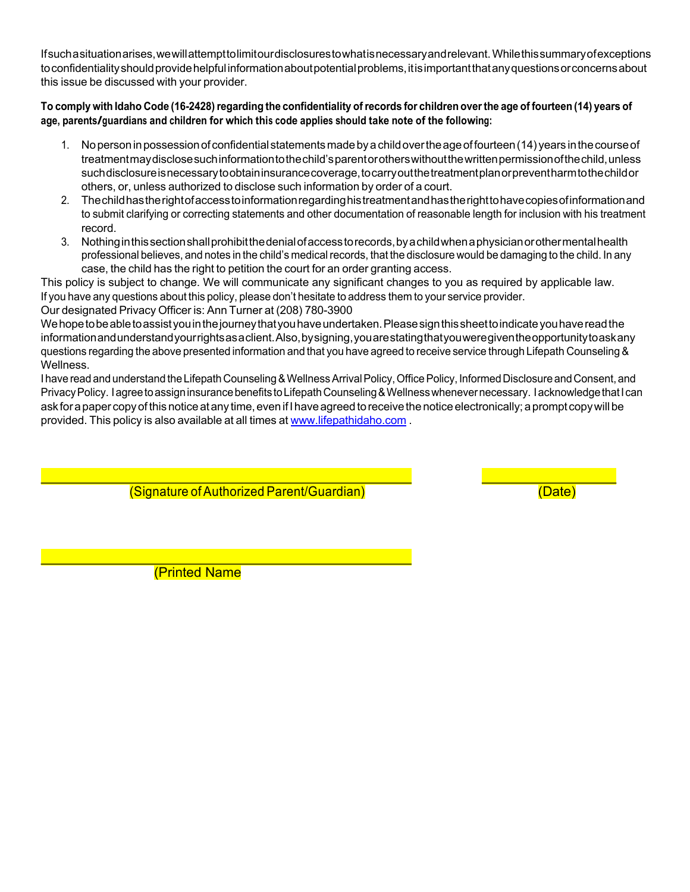Ifsuchasituationarises,wewillattempttolimitourdisclosurestowhatisnecessaryandrelevant.Whilethissummaryofexceptions toconfidentialityshouldprovidehelpfulinformationaboutpotentialproblems,itisimportantthatanyquestionsorconcernsabout this issue be discussed with your provider.

#### To comply with Idaho Code (16-2428) regarding the confidentiality of records for children over the age of fourteen (14) years of **age, parents/guardians and children for which this code applies should take note of the following:**

- 1. Nopersoninpossessionofconfidentialstatementsmadebyachildovertheageoffourteen(14) years inthecourseof treatmentmaydisclosesuchinformationtothechild'sparentorotherswithoutthewrittenpermissionofthechild,unless suchdisclosureisnecessarytoobtaininsurancecoverage,tocarryoutthetreatmentplanorpreventharmtothechildor others, or, unless authorized to disclose such information by order of a court.
- 2. Thechildhastherightofaccesstoinformationregardinghistreatmentandhastherighttohavecopiesofinformationand to submit clarifying or correcting statements and other documentation of reasonable length for inclusion with his treatment record.
- 3. Nothinginthissectionshallprohibitthedenialofaccesstorecords,byachildwhenaphysicianorothermentalhealth professional believes, and notes in the child's medicalrecords, that the disclosure would be damaging to the child. In any case, the child has the right to petition the court for an order granting access.

This policy is subject to change. We will communicate any significant changes to you as required by applicable law. If you have any questions about this policy, please don't hesitate to address them to your service provider.

Our designated Privacy Officer is: Ann Turner at (208) 780-3900

We hope to be able to assist you in the journey that you have undertaken. Please sign this sheet to indicate you have read the informationandunderstandyourrightsasaclient.Also,bysigning,youarestatingthatyouweregiventheopportunitytoaskany questions regarding the above presented information and that you have agreed to receive service through Lifepath Counseling & Wellness.

I have read and understand the Lifepath Counseling & Wellness Arrival Policy, Office Policy, Informed Disclosure and Consent, and Privacy Policy. Iagree to assign insurance benefits to Lifepath Counseling & Wellness whenever necessary. Iacknowledge that I can ask for a paper copy of this notice at any time, even if I have agreed to receive the notice electronically; a prompt copy will be provided. This policy is also available at all times at www.lifepathidaho.com.

(Signature ofAuthorized Parent/Guardian) (Date)

(Printed Name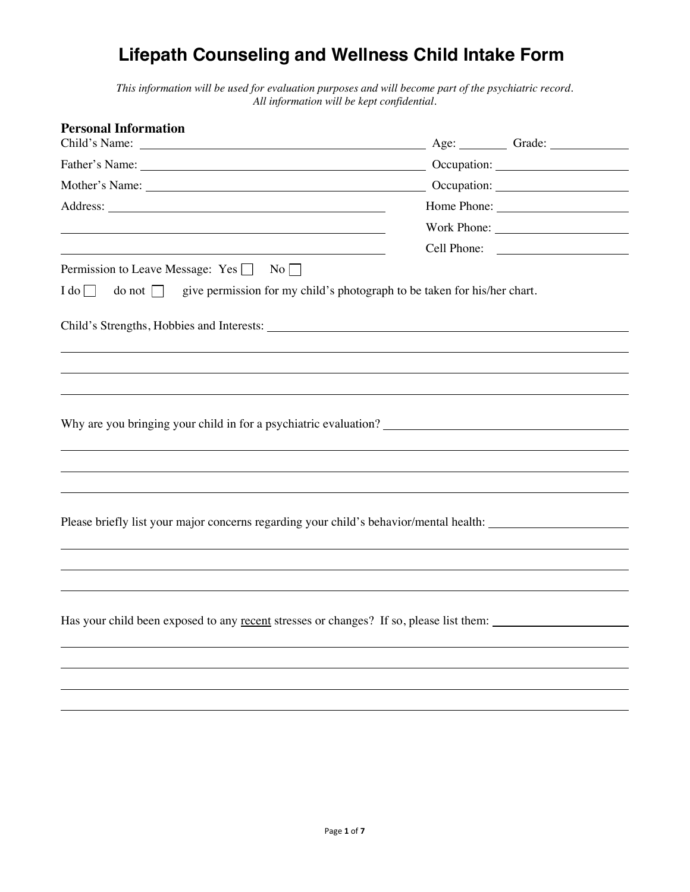# **Initial Child Consultation Form Lifepath Counseling and Wellness Child Intake Form**

*This information will be used for evaluation purposes and will become part of the psychiatric record. All information will be kept confidential.* 

| <b>Personal Information</b>                                                                                                                                                                                                    |                                                                                                                                                                                                                                |
|--------------------------------------------------------------------------------------------------------------------------------------------------------------------------------------------------------------------------------|--------------------------------------------------------------------------------------------------------------------------------------------------------------------------------------------------------------------------------|
|                                                                                                                                                                                                                                | Age: Grade: Communication                                                                                                                                                                                                      |
| Father's Name: The Same School of the School and School and School and School and School and School and School and School and School and School and School and School and School and School and School and School and School a | Occupation: University of the Contract of the Contract of the Contract of the Contract of the Contract of the Contract of the Contract of the Contract of the Contract of the Contract of the Contract of the Contract of the  |
|                                                                                                                                                                                                                                | Occupation: New York Contract Contract Contract Contract Contract Contract Contract Contract Contract Contract Contract Contract Contract Contract Contract Contract Contract Contract Contract Contract Contract Contract Con |
|                                                                                                                                                                                                                                | Home Phone: New York 1988                                                                                                                                                                                                      |
|                                                                                                                                                                                                                                | Work Phone:                                                                                                                                                                                                                    |
| <u> 1989 - Johann Barbara, martin amerikan basar dan berasal dalam basa dalam basar dalam basar dalam basar dalam</u>                                                                                                          |                                                                                                                                                                                                                                |
| Permission to Leave Message: Yes<br>No                                                                                                                                                                                         |                                                                                                                                                                                                                                |
| give permission for my child's photograph to be taken for his/her chart.<br>$I$ do $\Box$<br>$\frac{1}{\sqrt{1}}$                                                                                                              |                                                                                                                                                                                                                                |
|                                                                                                                                                                                                                                |                                                                                                                                                                                                                                |
|                                                                                                                                                                                                                                |                                                                                                                                                                                                                                |
|                                                                                                                                                                                                                                |                                                                                                                                                                                                                                |
|                                                                                                                                                                                                                                |                                                                                                                                                                                                                                |
|                                                                                                                                                                                                                                |                                                                                                                                                                                                                                |
|                                                                                                                                                                                                                                |                                                                                                                                                                                                                                |
|                                                                                                                                                                                                                                |                                                                                                                                                                                                                                |
|                                                                                                                                                                                                                                |                                                                                                                                                                                                                                |
|                                                                                                                                                                                                                                |                                                                                                                                                                                                                                |
|                                                                                                                                                                                                                                |                                                                                                                                                                                                                                |
|                                                                                                                                                                                                                                |                                                                                                                                                                                                                                |
| Please briefly list your major concerns regarding your child's behavior/mental health: _______________________                                                                                                                 |                                                                                                                                                                                                                                |
|                                                                                                                                                                                                                                |                                                                                                                                                                                                                                |
|                                                                                                                                                                                                                                |                                                                                                                                                                                                                                |
|                                                                                                                                                                                                                                |                                                                                                                                                                                                                                |
|                                                                                                                                                                                                                                |                                                                                                                                                                                                                                |
| Has your child been exposed to any recent stresses or changes? If so, please list them:                                                                                                                                        |                                                                                                                                                                                                                                |
|                                                                                                                                                                                                                                |                                                                                                                                                                                                                                |
|                                                                                                                                                                                                                                |                                                                                                                                                                                                                                |
|                                                                                                                                                                                                                                |                                                                                                                                                                                                                                |
|                                                                                                                                                                                                                                |                                                                                                                                                                                                                                |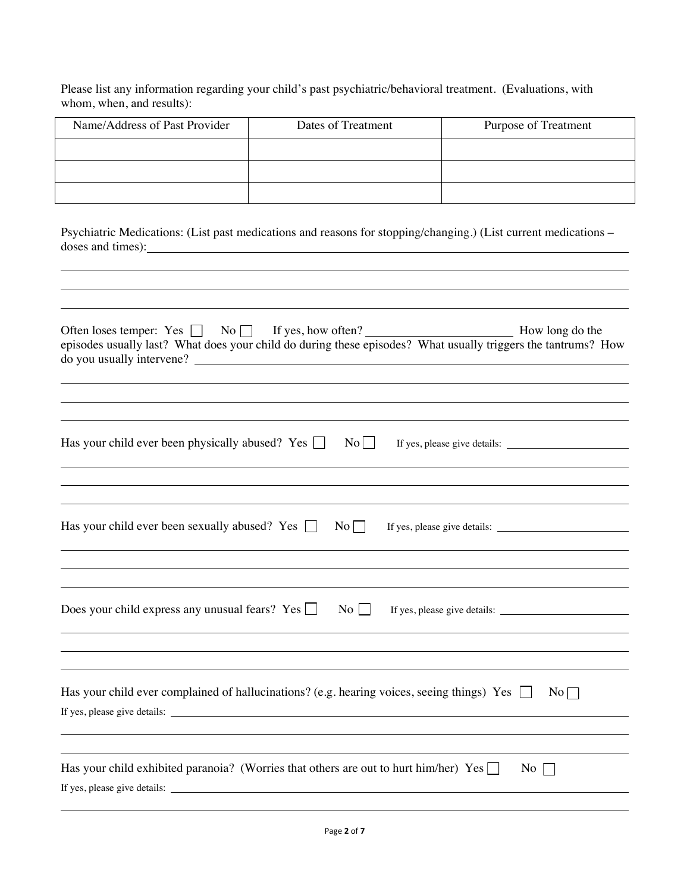Please list any information regarding your child's past psychiatric/behavioral treatment. (Evaluations, with whom, when, and results):

| Name/Address of Past Provider | Dates of Treatment | <b>Purpose of Treatment</b> |
|-------------------------------|--------------------|-----------------------------|
|                               |                    |                             |
|                               |                    |                             |
|                               |                    |                             |

Psychiatric Medications: (List past medications and reasons for stopping/changing.) (List current medications – doses and times):

| Often loses temper: Yes $\Box$ No $\Box$ If yes, how often? $\Box$ If yes also the episodes usually last? What does your child do during these episodes? What usually triggers the tantrums? How |                    |
|--------------------------------------------------------------------------------------------------------------------------------------------------------------------------------------------------|--------------------|
| Has your child ever been physically abused? Yes $\Box$<br>No                                                                                                                                     |                    |
| Has your child ever been sexually abused? Yes $\Box$<br>No                                                                                                                                       |                    |
| Does your child express any unusual fears? Yes $\Box$<br>$\mathrm{No}$                                                                                                                           |                    |
| Has your child ever complained of hallucinations? (e.g. hearing voices, seeing things) Yes                                                                                                       | $No \Box$          |
| Has your child exhibited paranoia? (Worries that others are out to hurt him/her) Yes<br>If yes, please give details:                                                                             | $\overline{N_{0}}$ |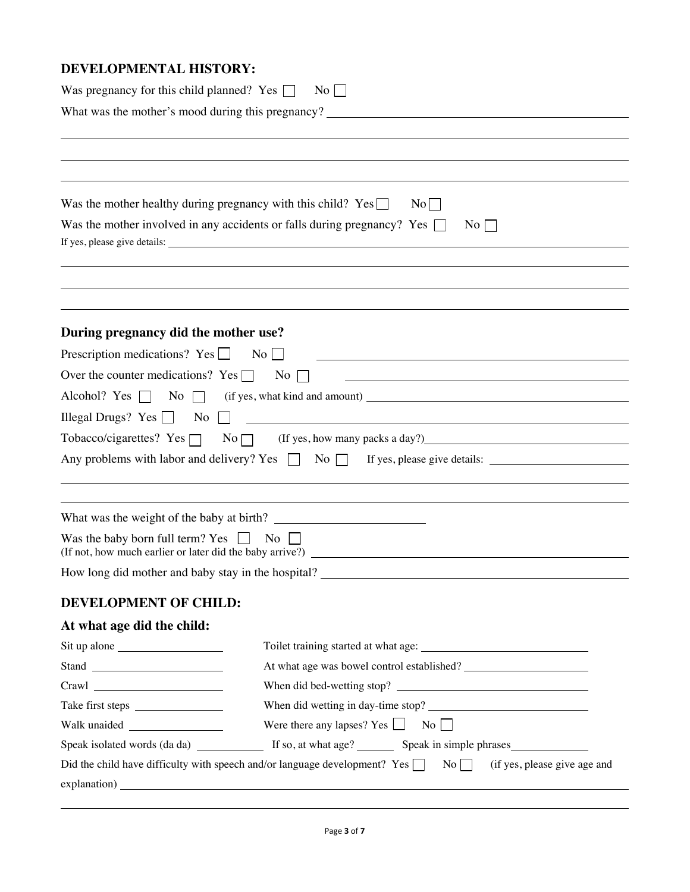# **DEVELOPMENTAL HISTORY:**

| Was pregnancy for this child planned? Yes $\Box$<br>$\overline{N}$ o |                                                                                                                         |  |  |  |
|----------------------------------------------------------------------|-------------------------------------------------------------------------------------------------------------------------|--|--|--|
| What was the mother's mood during this pregnancy?                    |                                                                                                                         |  |  |  |
|                                                                      |                                                                                                                         |  |  |  |
|                                                                      |                                                                                                                         |  |  |  |
|                                                                      |                                                                                                                         |  |  |  |
| Was the mother healthy during pregnancy with this child? $Yes \Box$  | No                                                                                                                      |  |  |  |
|                                                                      | Was the mother involved in any accidents or falls during pregnancy? Yes $\Box$<br>$\overline{N}$ o                      |  |  |  |
|                                                                      |                                                                                                                         |  |  |  |
|                                                                      |                                                                                                                         |  |  |  |
|                                                                      |                                                                                                                         |  |  |  |
|                                                                      |                                                                                                                         |  |  |  |
| During pregnancy did the mother use?                                 |                                                                                                                         |  |  |  |
| Prescription medications? Yes $\Box$                                 | $\overline{\text{No}}$                                                                                                  |  |  |  |
| Over the counter medications? Yes $\Box$                             | No                                                                                                                      |  |  |  |
|                                                                      |                                                                                                                         |  |  |  |
| Illegal Drugs? Yes $\Box$<br>No                                      | <u> 1989 - Johann Barn, fransk politik fotograf (d. 1989)</u>                                                           |  |  |  |
|                                                                      |                                                                                                                         |  |  |  |
|                                                                      | Any problems with labor and delivery? Yes $\Box$ No $\Box$ If yes, please give details:                                 |  |  |  |
|                                                                      |                                                                                                                         |  |  |  |
|                                                                      |                                                                                                                         |  |  |  |
|                                                                      |                                                                                                                         |  |  |  |
| Was the baby born full term? Yes $\Box$ No                           |                                                                                                                         |  |  |  |
|                                                                      | How long did mother and baby stay in the hospital?                                                                      |  |  |  |
|                                                                      |                                                                                                                         |  |  |  |
| <b>DEVELOPMENT OF CHILD:</b>                                         |                                                                                                                         |  |  |  |
| At what age did the child:                                           |                                                                                                                         |  |  |  |
|                                                                      |                                                                                                                         |  |  |  |
| Stand                                                                |                                                                                                                         |  |  |  |
|                                                                      | When did bed-wetting stop?                                                                                              |  |  |  |
|                                                                      |                                                                                                                         |  |  |  |
|                                                                      | Were there any lapses? Yes $\Box$<br>$\overline{N_0}$                                                                   |  |  |  |
|                                                                      |                                                                                                                         |  |  |  |
|                                                                      | Did the child have difficulty with speech and/or language development? Yes $\Box$<br>No<br>(if yes, please give age and |  |  |  |
|                                                                      | $\alpha$ explanation) $\alpha$                                                                                          |  |  |  |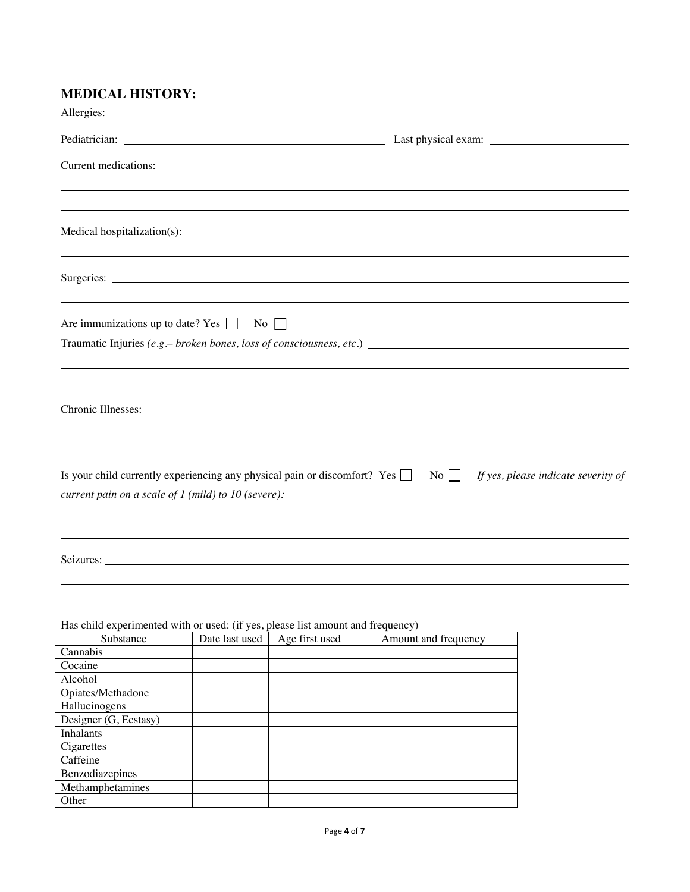# **MEDICAL HISTORY:**

|                                                                                                                     |                |                  | Current medications:                                                                                                                        |                                               |
|---------------------------------------------------------------------------------------------------------------------|----------------|------------------|---------------------------------------------------------------------------------------------------------------------------------------------|-----------------------------------------------|
|                                                                                                                     |                |                  | ,我们也不会有什么?""我们的人,我们也不会有什么?""我们的人,我们也不会有什么?""我们的人,我们也不会有什么?""我们的人,我们也不会有什么?""我们的人                                                            |                                               |
|                                                                                                                     |                |                  |                                                                                                                                             |                                               |
|                                                                                                                     |                |                  |                                                                                                                                             |                                               |
| Are immunizations up to date? Yes $\Box$                                                                            |                | $\overline{N_0}$ |                                                                                                                                             |                                               |
|                                                                                                                     |                |                  |                                                                                                                                             |                                               |
|                                                                                                                     |                |                  |                                                                                                                                             |                                               |
| Is your child currently experiencing any physical pain or discomfort? Yes                                           |                |                  | ,我们也不会有什么。""我们的人,我们也不会有什么?""我们的人,我们也不会有什么?""我们的人,我们也不会有什么?""我们的人,我们也不会有什么?""我们的人<br>current pain on a scale of 1 (mild) to 10 (severe):<br> | No $\Box$ If yes, please indicate severity of |
|                                                                                                                     |                |                  |                                                                                                                                             |                                               |
|                                                                                                                     |                |                  |                                                                                                                                             |                                               |
|                                                                                                                     |                |                  |                                                                                                                                             |                                               |
| Has child experimented with or used: (if yes, please list amount and frequency)<br>Substance<br>Cannabis<br>Cocaine | Date last used | Age first used   | Amount and frequency                                                                                                                        |                                               |
| Alcohol<br>Opiates/Methadone<br>Hallucinogens                                                                       |                |                  |                                                                                                                                             |                                               |

| Substance             | Date last used | Age first used | Amount and trequency |
|-----------------------|----------------|----------------|----------------------|
| Cannabis              |                |                |                      |
| Cocaine               |                |                |                      |
| Alcohol               |                |                |                      |
| Opiates/Methadone     |                |                |                      |
| Hallucinogens         |                |                |                      |
| Designer (G, Ecstasy) |                |                |                      |
| Inhalants             |                |                |                      |
| Cigarettes            |                |                |                      |
| Caffeine              |                |                |                      |
| Benzodiazepines       |                |                |                      |
| Methamphetamines      |                |                |                      |
| Other                 |                |                |                      |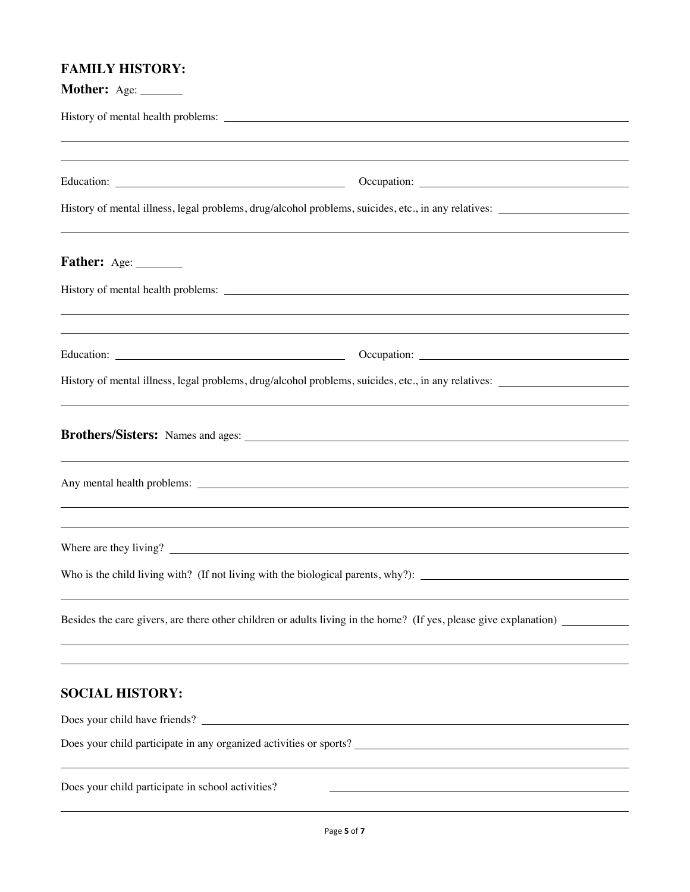# **FAMILY HISTORY:**

| Mother: Age: ______                                                                                                                                                                                                                                                                                                                  |                                                                                                                                                                                                                                      |
|--------------------------------------------------------------------------------------------------------------------------------------------------------------------------------------------------------------------------------------------------------------------------------------------------------------------------------------|--------------------------------------------------------------------------------------------------------------------------------------------------------------------------------------------------------------------------------------|
|                                                                                                                                                                                                                                                                                                                                      |                                                                                                                                                                                                                                      |
|                                                                                                                                                                                                                                                                                                                                      | ,我们也不会有什么。""我们的人,我们也不会有什么?""我们的人,我们也不会有什么?""我们的人,我们也不会有什么?""我们的人,我们也不会有什么?""我们的人                                                                                                                                                     |
|                                                                                                                                                                                                                                                                                                                                      |                                                                                                                                                                                                                                      |
|                                                                                                                                                                                                                                                                                                                                      |                                                                                                                                                                                                                                      |
| <b>Father:</b> Age: _________                                                                                                                                                                                                                                                                                                        |                                                                                                                                                                                                                                      |
|                                                                                                                                                                                                                                                                                                                                      |                                                                                                                                                                                                                                      |
|                                                                                                                                                                                                                                                                                                                                      |                                                                                                                                                                                                                                      |
|                                                                                                                                                                                                                                                                                                                                      | History of mental illness, legal problems, drug/alcohol problems, suicides, etc., in any relatives:                                                                                                                                  |
|                                                                                                                                                                                                                                                                                                                                      | Brothers/Sisters: Names and ages: 2008 2014 2022 2023 2024 2022 2023 2024 2022 2023 2024 2022 2023 2024 2022 20                                                                                                                      |
|                                                                                                                                                                                                                                                                                                                                      | Any mental health problems: <u>example and contract and contract and contract and contract and contract and contract and contract and contract and contract and contract and contract and contract and contract and contract and</u> |
| Where are they living? $\qquad \qquad$ $\qquad \qquad$ $\qquad$ $\qquad$ $\qquad$ $\qquad$ $\qquad$ $\qquad$ $\qquad$ $\qquad$ $\qquad$ $\qquad$ $\qquad$ $\qquad$ $\qquad$ $\qquad$ $\qquad$ $\qquad$ $\qquad$ $\qquad$ $\qquad$ $\qquad$ $\qquad$ $\qquad$ $\qquad$ $\qquad$ $\qquad$ $\qquad$ $\qquad$ $\qquad$ $\qquad$ $\qquad$ |                                                                                                                                                                                                                                      |
|                                                                                                                                                                                                                                                                                                                                      |                                                                                                                                                                                                                                      |
|                                                                                                                                                                                                                                                                                                                                      | Besides the care givers, are there other children or adults living in the home? (If yes, please give explanation) __________                                                                                                         |
| <b>SOCIAL HISTORY:</b>                                                                                                                                                                                                                                                                                                               |                                                                                                                                                                                                                                      |
|                                                                                                                                                                                                                                                                                                                                      |                                                                                                                                                                                                                                      |
|                                                                                                                                                                                                                                                                                                                                      |                                                                                                                                                                                                                                      |
| Does your child participate in school activities?                                                                                                                                                                                                                                                                                    |                                                                                                                                                                                                                                      |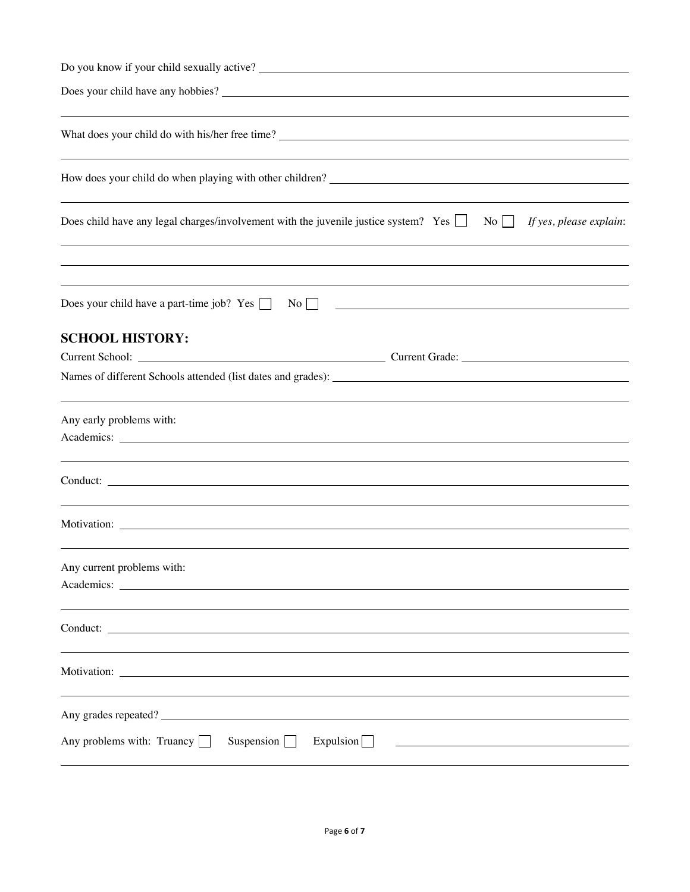| How does your child do when playing with other children?                                                                     |
|------------------------------------------------------------------------------------------------------------------------------|
| Does child have any legal charges/involvement with the juvenile justice system? Yes $\Box$ No $\Box$ If yes, please explain: |
| Does your child have a part-time job? Yes $\Box$ No $\Box$<br><u> 1989 - Johann Barn, fransk politik formuler (d. 1989)</u>  |
| <b>SCHOOL HISTORY:</b>                                                                                                       |
|                                                                                                                              |
|                                                                                                                              |
| Any early problems with:                                                                                                     |
|                                                                                                                              |
| ,我们也不会有什么?""我们的人,我们也不会有什么?""我们的人,我们也不会有什么?""我们的人,我们也不会有什么?""我们的人,我们也不会有什么?""我们的人                                             |
| Any current problems with:                                                                                                   |
|                                                                                                                              |
|                                                                                                                              |
| Any grades repeated?                                                                                                         |
| Any problems with: Truancy $\Box$<br>Suspension $\Box$<br>Expulsion                                                          |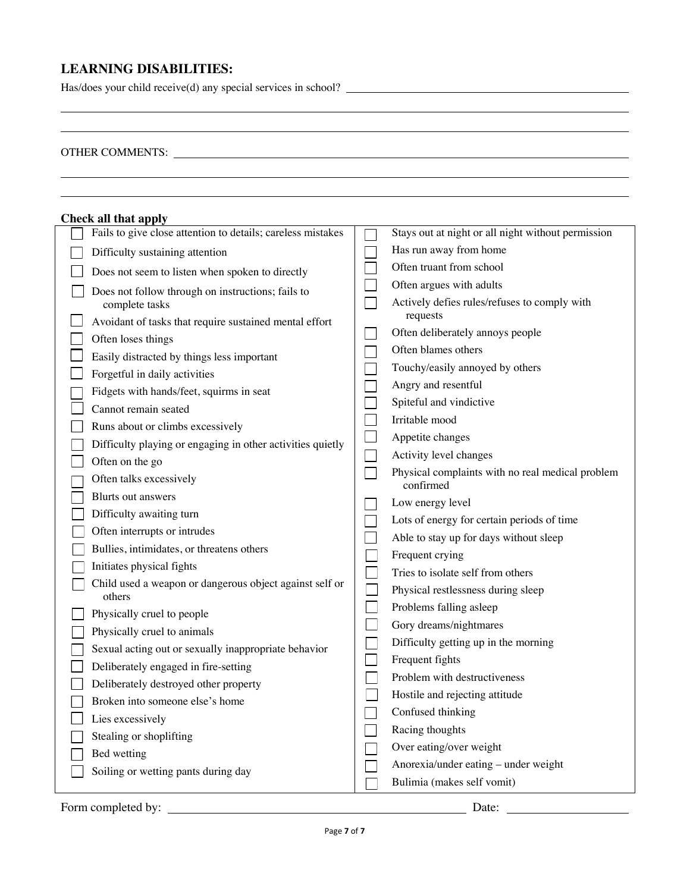# **LEARNING DISABILITIES:**

Has/does your child receive(d) any special services in school?

# OTHER COMMENTS:  $\overline{\phantom{a}}$

| <b>Check all that apply</b> |                                                                   |                             |                                                               |  |  |
|-----------------------------|-------------------------------------------------------------------|-----------------------------|---------------------------------------------------------------|--|--|
|                             | Fails to give close attention to details; careless mistakes       |                             | Stays out at night or all night without permission            |  |  |
|                             | Difficulty sustaining attention                                   |                             | Has run away from home                                        |  |  |
|                             | Does not seem to listen when spoken to directly                   | $\mathcal{L}$               | Often truant from school                                      |  |  |
|                             | Does not follow through on instructions; fails to                 | $\mathcal{L}_{\mathcal{A}}$ | Often argues with adults                                      |  |  |
|                             | complete tasks                                                    |                             | Actively defies rules/refuses to comply with                  |  |  |
|                             | Avoidant of tasks that require sustained mental effort            |                             | requests                                                      |  |  |
|                             | Often loses things                                                |                             | Often deliberately annoys people                              |  |  |
|                             | Easily distracted by things less important                        |                             | Often blames others                                           |  |  |
|                             | Forgetful in daily activities                                     |                             | Touchy/easily annoyed by others                               |  |  |
|                             | Fidgets with hands/feet, squirms in seat                          |                             | Angry and resentful                                           |  |  |
|                             | Cannot remain seated                                              |                             | Spiteful and vindictive                                       |  |  |
|                             | Runs about or climbs excessively                                  |                             | Irritable mood                                                |  |  |
|                             | Difficulty playing or engaging in other activities quietly        |                             | Appetite changes                                              |  |  |
|                             | Often on the go                                                   |                             | Activity level changes                                        |  |  |
|                             | Often talks excessively                                           |                             | Physical complaints with no real medical problem<br>confirmed |  |  |
|                             | Blurts out answers                                                |                             | Low energy level                                              |  |  |
|                             | Difficulty awaiting turn                                          |                             | Lots of energy for certain periods of time                    |  |  |
|                             | Often interrupts or intrudes                                      |                             | Able to stay up for days without sleep                        |  |  |
|                             | Bullies, intimidates, or threatens others                         |                             | Frequent crying                                               |  |  |
|                             | Initiates physical fights                                         |                             | Tries to isolate self from others                             |  |  |
|                             | Child used a weapon or dangerous object against self or<br>others | $\overline{\phantom{0}}$    | Physical restlessness during sleep                            |  |  |
|                             | Physically cruel to people                                        | $\mathcal{L}_{\mathcal{A}}$ | Problems falling asleep                                       |  |  |
|                             | Physically cruel to animals                                       |                             | Gory dreams/nightmares                                        |  |  |
|                             | Sexual acting out or sexually inappropriate behavior              |                             | Difficulty getting up in the morning                          |  |  |
|                             | Deliberately engaged in fire-setting                              | $\overline{\phantom{0}}$    | Frequent fights                                               |  |  |
|                             | Deliberately destroyed other property                             |                             | Problem with destructiveness                                  |  |  |
|                             | Broken into someone else's home                                   |                             | Hostile and rejecting attitude                                |  |  |
|                             | Lies excessively                                                  |                             | Confused thinking                                             |  |  |
|                             | Stealing or shoplifting                                           |                             | Racing thoughts                                               |  |  |
|                             | Bed wetting                                                       |                             | Over eating/over weight                                       |  |  |
|                             | Soiling or wetting pants during day                               |                             | Anorexia/under eating - under weight                          |  |  |
|                             |                                                                   |                             | Bulimia (makes self vomit)                                    |  |  |

Form completed by: Date: